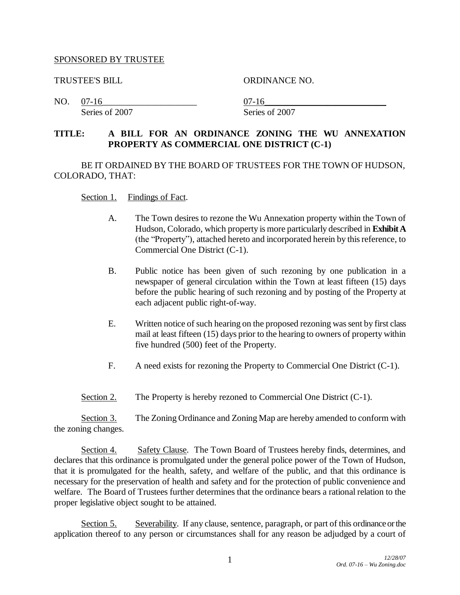## SPONSORED BY TRUSTEE

TRUSTEE'S BILL ORDINANCE NO.

NO. 07-16\_\_\_\_\_\_\_\_\_\_\_\_\_\_\_\_\_\_\_\_\_ 07-16\_\_\_\_\_\_\_\_\_\_\_\_\_\_\_\_\_\_\_\_\_\_\_\_\_\_\_ Series of 2007 Series of 2007

**TITLE: A BILL FOR AN ORDINANCE ZONING THE WU ANNEXATION PROPERTY AS COMMERCIAL ONE DISTRICT (C-1)**

BE IT ORDAINED BY THE BOARD OF TRUSTEES FOR THE TOWN OF HUDSON, COLORADO, THAT:

- Section 1. Findings of Fact.
	- A. The Town desires to rezone the Wu Annexation property within the Town of Hudson, Colorado, which property is more particularly described in **Exhibit A** (the "Property"), attached hereto and incorporated herein by this reference, to Commercial One District (C-1).
	- B. Public notice has been given of such rezoning by one publication in a newspaper of general circulation within the Town at least fifteen (15) days before the public hearing of such rezoning and by posting of the Property at each adjacent public right-of-way.
	- E. Written notice of such hearing on the proposed rezoning was sent by first class mail at least fifteen (15) days prior to the hearing to owners of property within five hundred (500) feet of the Property.
	- F. A need exists for rezoning the Property to Commercial One District (C-1).
- Section 2. The Property is hereby rezoned to Commercial One District (C-1).

Section 3. The Zoning Ordinance and Zoning Map are hereby amended to conform with the zoning changes.

Section 4. Safety Clause. The Town Board of Trustees hereby finds, determines, and declares that this ordinance is promulgated under the general police power of the Town of Hudson, that it is promulgated for the health, safety, and welfare of the public, and that this ordinance is necessary for the preservation of health and safety and for the protection of public convenience and welfare. The Board of Trustees further determines that the ordinance bears a rational relation to the proper legislative object sought to be attained.

Section 5. Severability. If any clause, sentence, paragraph, or part of this ordinance or the application thereof to any person or circumstances shall for any reason be adjudged by a court of